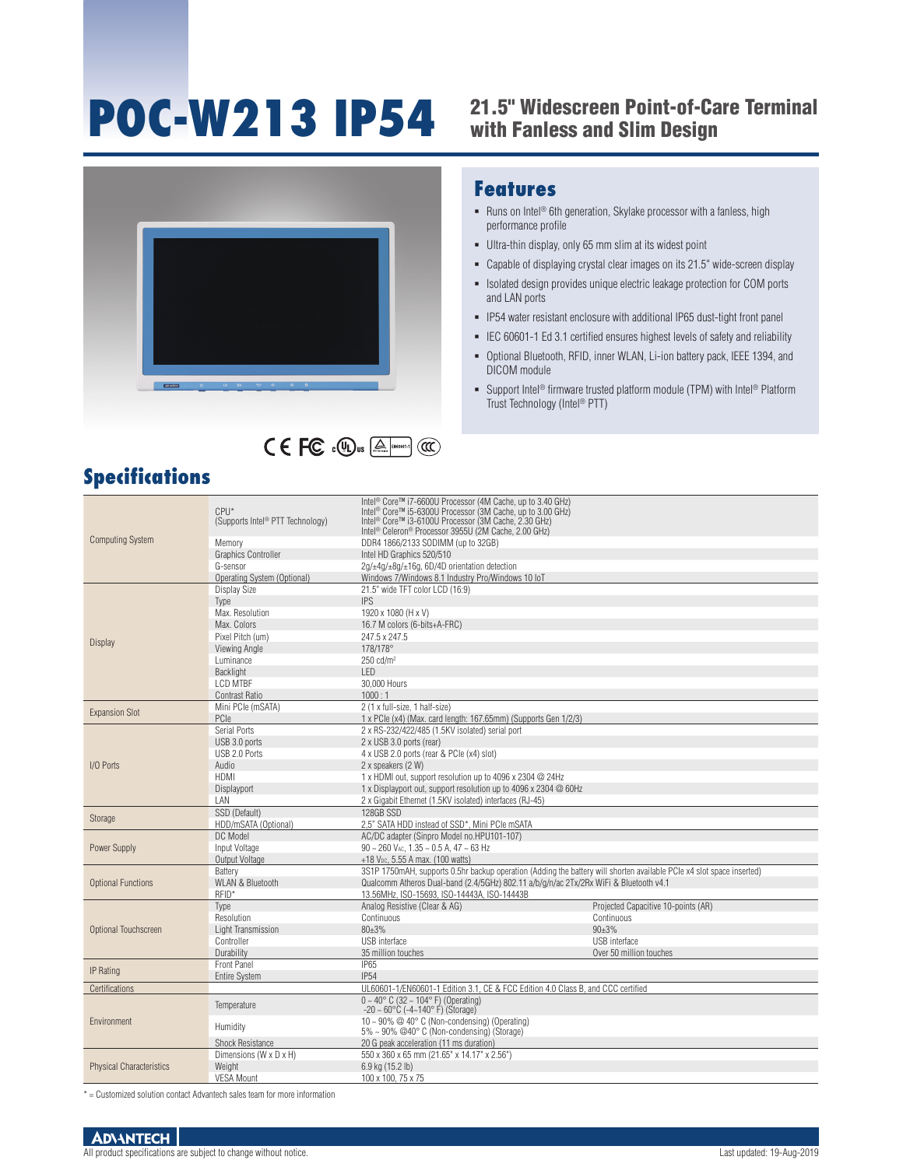# **POC-W213 IP54**

## 21.5" Widescreen Point-of-Care Terminal





#### **Specifications**

### with Fanless and Slim Design

#### **Features**

- Runs on Intel<sup>®</sup> 6th generation, Skylake processor with a fanless, high performance profile
- Ultra-thin display, only 65 mm slim at its widest point
- Capable of displaying crystal clear images on its 21.5" wide-screen display
- **EXECTE EXECTE ISOlated design provides unique electric leakage protection for COM ports** and LAN ports
- IP54 water resistant enclosure with additional IP65 dust-tight front panel
- IEC 60601-1 Ed 3.1 certified ensures highest levels of safety and reliability
- Optional Bluetooth, RFID, inner WLAN, Li-ion battery pack, IEEE 1394, and DICOM module
- Support Intel<sup>®</sup> firmware trusted platform module (TPM) with Intel<sup>®</sup> Platform Trust Technology (Intel® PTT)

| Intel <sup>®</sup> Core™ i7-6600U Processor (4M Cache, up to 3.40 GHz)<br>$CPU*$<br>Intel <sup>®</sup> Core™ i5-6300U Processor (3M Cache, up to 3.00 GHz)<br>Intel <sup>®</sup> Core™ i3-6100U Processor (3M Cache, 2.30 GHz)<br>(Supports Intel <sup>®</sup> PTT Technology)<br>Intel <sup>®</sup> Celeron <sup>®</sup> Processor 3955U (2M Cache, 2.00 GHz)<br><b>Computing System</b><br>DDR4 1866/2133 SODIMM (up to 32GB)<br>Memory<br><b>Graphics Controller</b><br>Intel HD Graphics 520/510<br>G-sensor<br>2g/±4g/±8g/±16g, 6D/4D orientation detection<br>Operating System (Optional)<br>Windows 7/Windows 8.1 Industry Pro/Windows 10 IoT<br>21.5" wide TFT color LCD (16:9)<br>Display Size<br><b>IPS</b><br>Type<br>Max. Resolution<br>1920 x 1080 (H x V)<br>Max. Colors<br>16.7 M colors (6-bits+A-FRC)<br>Pixel Pitch (um)<br>247.5 x 247.5<br>Display<br>178/178°<br>Viewing Angle<br>Luminance<br>$250 \text{ cd/m}^2$<br>IFD.<br><b>Backlight</b><br><b>I CD MTBF</b><br>30,000 Hours<br>1000 : 1<br><b>Contrast Ratio</b><br>2 (1 x full-size, 1 half-size)<br>Mini PCle (mSATA)<br><b>Expansion Slot</b><br>PCIe<br>1 x PCIe (x4) (Max. card length: 167.65mm) (Supports Gen 1/2/3)<br>2 x RS-232/422/485 (1.5KV isolated) serial port<br>Serial Ports<br>USB 3.0 ports<br>2 x USB 3.0 ports (rear)<br>USB 2.0 Ports<br>4 x USB 2.0 ports (rear & PCIe (x4) slot)<br>Audio<br>2 x speakers (2 W)<br>I/O Ports<br><b>HDMI</b><br>1 x HDMI out, support resolution up to 4096 x 2304 @ 24Hz<br>1 x Displayport out, support resolution up to 4096 x 2304 @ 60Hz<br>Displayport<br>LAN<br>2 x Gigabit Ethernet (1.5KV isolated) interfaces (RJ-45)<br>SSD (Default)<br>128GB SSD<br>Storage<br>HDD/mSATA (Optional)<br>2,5" SATA HDD instead of SSD*, Mini PCIe mSATA<br>DC Model<br>AC/DC adapter (Sinpro Model no.HPU101-107)<br>$90 \sim 260$ Vac, $1.35 \sim 0.5$ A, $47 \sim 63$ Hz<br>Input Voltage<br>Power Supply<br>+18 V <sub>pc</sub> , 5.55 A max. (100 watts)<br>Output Voltage<br>3S1P 1750mAH, supports 0.5hr backup operation (Adding the battery will shorten available PCIe x4 slot space inserted)<br>Battery<br><b>WLAN &amp; Bluetooth</b><br>Qualcomm Atheros Dual-band (2.4/5GHz) 802.11 a/b/g/n/ac 2Tx/2Rx WiFi & Bluetooth v4.1<br><b>Optional Functions</b><br>RFID*<br>13.56MHz, ISO-15693, ISO-14443A, ISO-14443B<br>Analog Resistive (Clear & AG)<br>Projected Capacitive 10-points (AR)<br>Type<br>Resolution<br>Continuous<br>Continuous<br>80±3%<br>$90+3%$<br>Light Transmission<br>Optional Touchscreen<br><b>USB</b> interface<br>USB interface<br>Controller<br>Durability<br>35 million touches<br>Over 50 million touches<br><b>Front Panel</b><br><b>IP65</b><br><b>IP</b> Rating<br><b>IP54</b><br><b>Entire System</b><br>UL60601-1/EN60601-1 Edition 3.1, CE & FCC Edition 4.0 Class B, and CCC certified<br>Certifications<br>$0 \sim 40^{\circ}$ C (32 ~ 104 $^{\circ}$ F) (Operating)<br>Temperature<br>$-20 \sim 60^{\circ}$ C (-4~140° F) (Storage)<br>10 ~ 90% $@$ 40° C (Non-condensing) (Operating)<br>Environment<br>Humidity<br>5% ~ 90% @40° C (Non-condensing) (Storage)<br><b>Shock Resistance</b><br>20 G peak acceleration (11 ms duration)<br>Dimensions (W x D x H)<br>550 x 360 x 65 mm (21.65" x 14.17" x 2.56")<br><b>Physical Characteristics</b><br>Weight<br>6.9 kg (15.2 lb)<br><b>VESA Mount</b><br>100 x 100, 75 x 75 |  |  |  |
|-------------------------------------------------------------------------------------------------------------------------------------------------------------------------------------------------------------------------------------------------------------------------------------------------------------------------------------------------------------------------------------------------------------------------------------------------------------------------------------------------------------------------------------------------------------------------------------------------------------------------------------------------------------------------------------------------------------------------------------------------------------------------------------------------------------------------------------------------------------------------------------------------------------------------------------------------------------------------------------------------------------------------------------------------------------------------------------------------------------------------------------------------------------------------------------------------------------------------------------------------------------------------------------------------------------------------------------------------------------------------------------------------------------------------------------------------------------------------------------------------------------------------------------------------------------------------------------------------------------------------------------------------------------------------------------------------------------------------------------------------------------------------------------------------------------------------------------------------------------------------------------------------------------------------------------------------------------------------------------------------------------------------------------------------------------------------------------------------------------------------------------------------------------------------------------------------------------------------------------------------------------------------------------------------------------------------------------------------------------------------------------------------------------------------------------------------------------------------------------------------------------------------------------------------------------------------------------------------------------------------------------------------------------------------------------------------------------------------------------------------------------------------------------------------------------------------------------------------------------------------------------------------------------------------------------------------------------------------------------------------------------------------------------------------------------------------------------------------------------------------------------------------------------------------------------------------------------------------------------------------------------------------------------------------------------------------------------------------------------------------------------------------------------|--|--|--|
|                                                                                                                                                                                                                                                                                                                                                                                                                                                                                                                                                                                                                                                                                                                                                                                                                                                                                                                                                                                                                                                                                                                                                                                                                                                                                                                                                                                                                                                                                                                                                                                                                                                                                                                                                                                                                                                                                                                                                                                                                                                                                                                                                                                                                                                                                                                                                                                                                                                                                                                                                                                                                                                                                                                                                                                                                                                                                                                                                                                                                                                                                                                                                                                                                                                                                                                                                                                                             |  |  |  |
|                                                                                                                                                                                                                                                                                                                                                                                                                                                                                                                                                                                                                                                                                                                                                                                                                                                                                                                                                                                                                                                                                                                                                                                                                                                                                                                                                                                                                                                                                                                                                                                                                                                                                                                                                                                                                                                                                                                                                                                                                                                                                                                                                                                                                                                                                                                                                                                                                                                                                                                                                                                                                                                                                                                                                                                                                                                                                                                                                                                                                                                                                                                                                                                                                                                                                                                                                                                                             |  |  |  |
|                                                                                                                                                                                                                                                                                                                                                                                                                                                                                                                                                                                                                                                                                                                                                                                                                                                                                                                                                                                                                                                                                                                                                                                                                                                                                                                                                                                                                                                                                                                                                                                                                                                                                                                                                                                                                                                                                                                                                                                                                                                                                                                                                                                                                                                                                                                                                                                                                                                                                                                                                                                                                                                                                                                                                                                                                                                                                                                                                                                                                                                                                                                                                                                                                                                                                                                                                                                                             |  |  |  |
|                                                                                                                                                                                                                                                                                                                                                                                                                                                                                                                                                                                                                                                                                                                                                                                                                                                                                                                                                                                                                                                                                                                                                                                                                                                                                                                                                                                                                                                                                                                                                                                                                                                                                                                                                                                                                                                                                                                                                                                                                                                                                                                                                                                                                                                                                                                                                                                                                                                                                                                                                                                                                                                                                                                                                                                                                                                                                                                                                                                                                                                                                                                                                                                                                                                                                                                                                                                                             |  |  |  |
|                                                                                                                                                                                                                                                                                                                                                                                                                                                                                                                                                                                                                                                                                                                                                                                                                                                                                                                                                                                                                                                                                                                                                                                                                                                                                                                                                                                                                                                                                                                                                                                                                                                                                                                                                                                                                                                                                                                                                                                                                                                                                                                                                                                                                                                                                                                                                                                                                                                                                                                                                                                                                                                                                                                                                                                                                                                                                                                                                                                                                                                                                                                                                                                                                                                                                                                                                                                                             |  |  |  |
|                                                                                                                                                                                                                                                                                                                                                                                                                                                                                                                                                                                                                                                                                                                                                                                                                                                                                                                                                                                                                                                                                                                                                                                                                                                                                                                                                                                                                                                                                                                                                                                                                                                                                                                                                                                                                                                                                                                                                                                                                                                                                                                                                                                                                                                                                                                                                                                                                                                                                                                                                                                                                                                                                                                                                                                                                                                                                                                                                                                                                                                                                                                                                                                                                                                                                                                                                                                                             |  |  |  |
|                                                                                                                                                                                                                                                                                                                                                                                                                                                                                                                                                                                                                                                                                                                                                                                                                                                                                                                                                                                                                                                                                                                                                                                                                                                                                                                                                                                                                                                                                                                                                                                                                                                                                                                                                                                                                                                                                                                                                                                                                                                                                                                                                                                                                                                                                                                                                                                                                                                                                                                                                                                                                                                                                                                                                                                                                                                                                                                                                                                                                                                                                                                                                                                                                                                                                                                                                                                                             |  |  |  |
|                                                                                                                                                                                                                                                                                                                                                                                                                                                                                                                                                                                                                                                                                                                                                                                                                                                                                                                                                                                                                                                                                                                                                                                                                                                                                                                                                                                                                                                                                                                                                                                                                                                                                                                                                                                                                                                                                                                                                                                                                                                                                                                                                                                                                                                                                                                                                                                                                                                                                                                                                                                                                                                                                                                                                                                                                                                                                                                                                                                                                                                                                                                                                                                                                                                                                                                                                                                                             |  |  |  |
|                                                                                                                                                                                                                                                                                                                                                                                                                                                                                                                                                                                                                                                                                                                                                                                                                                                                                                                                                                                                                                                                                                                                                                                                                                                                                                                                                                                                                                                                                                                                                                                                                                                                                                                                                                                                                                                                                                                                                                                                                                                                                                                                                                                                                                                                                                                                                                                                                                                                                                                                                                                                                                                                                                                                                                                                                                                                                                                                                                                                                                                                                                                                                                                                                                                                                                                                                                                                             |  |  |  |
|                                                                                                                                                                                                                                                                                                                                                                                                                                                                                                                                                                                                                                                                                                                                                                                                                                                                                                                                                                                                                                                                                                                                                                                                                                                                                                                                                                                                                                                                                                                                                                                                                                                                                                                                                                                                                                                                                                                                                                                                                                                                                                                                                                                                                                                                                                                                                                                                                                                                                                                                                                                                                                                                                                                                                                                                                                                                                                                                                                                                                                                                                                                                                                                                                                                                                                                                                                                                             |  |  |  |
|                                                                                                                                                                                                                                                                                                                                                                                                                                                                                                                                                                                                                                                                                                                                                                                                                                                                                                                                                                                                                                                                                                                                                                                                                                                                                                                                                                                                                                                                                                                                                                                                                                                                                                                                                                                                                                                                                                                                                                                                                                                                                                                                                                                                                                                                                                                                                                                                                                                                                                                                                                                                                                                                                                                                                                                                                                                                                                                                                                                                                                                                                                                                                                                                                                                                                                                                                                                                             |  |  |  |
|                                                                                                                                                                                                                                                                                                                                                                                                                                                                                                                                                                                                                                                                                                                                                                                                                                                                                                                                                                                                                                                                                                                                                                                                                                                                                                                                                                                                                                                                                                                                                                                                                                                                                                                                                                                                                                                                                                                                                                                                                                                                                                                                                                                                                                                                                                                                                                                                                                                                                                                                                                                                                                                                                                                                                                                                                                                                                                                                                                                                                                                                                                                                                                                                                                                                                                                                                                                                             |  |  |  |
|                                                                                                                                                                                                                                                                                                                                                                                                                                                                                                                                                                                                                                                                                                                                                                                                                                                                                                                                                                                                                                                                                                                                                                                                                                                                                                                                                                                                                                                                                                                                                                                                                                                                                                                                                                                                                                                                                                                                                                                                                                                                                                                                                                                                                                                                                                                                                                                                                                                                                                                                                                                                                                                                                                                                                                                                                                                                                                                                                                                                                                                                                                                                                                                                                                                                                                                                                                                                             |  |  |  |
|                                                                                                                                                                                                                                                                                                                                                                                                                                                                                                                                                                                                                                                                                                                                                                                                                                                                                                                                                                                                                                                                                                                                                                                                                                                                                                                                                                                                                                                                                                                                                                                                                                                                                                                                                                                                                                                                                                                                                                                                                                                                                                                                                                                                                                                                                                                                                                                                                                                                                                                                                                                                                                                                                                                                                                                                                                                                                                                                                                                                                                                                                                                                                                                                                                                                                                                                                                                                             |  |  |  |
|                                                                                                                                                                                                                                                                                                                                                                                                                                                                                                                                                                                                                                                                                                                                                                                                                                                                                                                                                                                                                                                                                                                                                                                                                                                                                                                                                                                                                                                                                                                                                                                                                                                                                                                                                                                                                                                                                                                                                                                                                                                                                                                                                                                                                                                                                                                                                                                                                                                                                                                                                                                                                                                                                                                                                                                                                                                                                                                                                                                                                                                                                                                                                                                                                                                                                                                                                                                                             |  |  |  |
|                                                                                                                                                                                                                                                                                                                                                                                                                                                                                                                                                                                                                                                                                                                                                                                                                                                                                                                                                                                                                                                                                                                                                                                                                                                                                                                                                                                                                                                                                                                                                                                                                                                                                                                                                                                                                                                                                                                                                                                                                                                                                                                                                                                                                                                                                                                                                                                                                                                                                                                                                                                                                                                                                                                                                                                                                                                                                                                                                                                                                                                                                                                                                                                                                                                                                                                                                                                                             |  |  |  |
|                                                                                                                                                                                                                                                                                                                                                                                                                                                                                                                                                                                                                                                                                                                                                                                                                                                                                                                                                                                                                                                                                                                                                                                                                                                                                                                                                                                                                                                                                                                                                                                                                                                                                                                                                                                                                                                                                                                                                                                                                                                                                                                                                                                                                                                                                                                                                                                                                                                                                                                                                                                                                                                                                                                                                                                                                                                                                                                                                                                                                                                                                                                                                                                                                                                                                                                                                                                                             |  |  |  |
|                                                                                                                                                                                                                                                                                                                                                                                                                                                                                                                                                                                                                                                                                                                                                                                                                                                                                                                                                                                                                                                                                                                                                                                                                                                                                                                                                                                                                                                                                                                                                                                                                                                                                                                                                                                                                                                                                                                                                                                                                                                                                                                                                                                                                                                                                                                                                                                                                                                                                                                                                                                                                                                                                                                                                                                                                                                                                                                                                                                                                                                                                                                                                                                                                                                                                                                                                                                                             |  |  |  |
|                                                                                                                                                                                                                                                                                                                                                                                                                                                                                                                                                                                                                                                                                                                                                                                                                                                                                                                                                                                                                                                                                                                                                                                                                                                                                                                                                                                                                                                                                                                                                                                                                                                                                                                                                                                                                                                                                                                                                                                                                                                                                                                                                                                                                                                                                                                                                                                                                                                                                                                                                                                                                                                                                                                                                                                                                                                                                                                                                                                                                                                                                                                                                                                                                                                                                                                                                                                                             |  |  |  |
|                                                                                                                                                                                                                                                                                                                                                                                                                                                                                                                                                                                                                                                                                                                                                                                                                                                                                                                                                                                                                                                                                                                                                                                                                                                                                                                                                                                                                                                                                                                                                                                                                                                                                                                                                                                                                                                                                                                                                                                                                                                                                                                                                                                                                                                                                                                                                                                                                                                                                                                                                                                                                                                                                                                                                                                                                                                                                                                                                                                                                                                                                                                                                                                                                                                                                                                                                                                                             |  |  |  |
|                                                                                                                                                                                                                                                                                                                                                                                                                                                                                                                                                                                                                                                                                                                                                                                                                                                                                                                                                                                                                                                                                                                                                                                                                                                                                                                                                                                                                                                                                                                                                                                                                                                                                                                                                                                                                                                                                                                                                                                                                                                                                                                                                                                                                                                                                                                                                                                                                                                                                                                                                                                                                                                                                                                                                                                                                                                                                                                                                                                                                                                                                                                                                                                                                                                                                                                                                                                                             |  |  |  |
|                                                                                                                                                                                                                                                                                                                                                                                                                                                                                                                                                                                                                                                                                                                                                                                                                                                                                                                                                                                                                                                                                                                                                                                                                                                                                                                                                                                                                                                                                                                                                                                                                                                                                                                                                                                                                                                                                                                                                                                                                                                                                                                                                                                                                                                                                                                                                                                                                                                                                                                                                                                                                                                                                                                                                                                                                                                                                                                                                                                                                                                                                                                                                                                                                                                                                                                                                                                                             |  |  |  |
|                                                                                                                                                                                                                                                                                                                                                                                                                                                                                                                                                                                                                                                                                                                                                                                                                                                                                                                                                                                                                                                                                                                                                                                                                                                                                                                                                                                                                                                                                                                                                                                                                                                                                                                                                                                                                                                                                                                                                                                                                                                                                                                                                                                                                                                                                                                                                                                                                                                                                                                                                                                                                                                                                                                                                                                                                                                                                                                                                                                                                                                                                                                                                                                                                                                                                                                                                                                                             |  |  |  |
|                                                                                                                                                                                                                                                                                                                                                                                                                                                                                                                                                                                                                                                                                                                                                                                                                                                                                                                                                                                                                                                                                                                                                                                                                                                                                                                                                                                                                                                                                                                                                                                                                                                                                                                                                                                                                                                                                                                                                                                                                                                                                                                                                                                                                                                                                                                                                                                                                                                                                                                                                                                                                                                                                                                                                                                                                                                                                                                                                                                                                                                                                                                                                                                                                                                                                                                                                                                                             |  |  |  |
|                                                                                                                                                                                                                                                                                                                                                                                                                                                                                                                                                                                                                                                                                                                                                                                                                                                                                                                                                                                                                                                                                                                                                                                                                                                                                                                                                                                                                                                                                                                                                                                                                                                                                                                                                                                                                                                                                                                                                                                                                                                                                                                                                                                                                                                                                                                                                                                                                                                                                                                                                                                                                                                                                                                                                                                                                                                                                                                                                                                                                                                                                                                                                                                                                                                                                                                                                                                                             |  |  |  |
|                                                                                                                                                                                                                                                                                                                                                                                                                                                                                                                                                                                                                                                                                                                                                                                                                                                                                                                                                                                                                                                                                                                                                                                                                                                                                                                                                                                                                                                                                                                                                                                                                                                                                                                                                                                                                                                                                                                                                                                                                                                                                                                                                                                                                                                                                                                                                                                                                                                                                                                                                                                                                                                                                                                                                                                                                                                                                                                                                                                                                                                                                                                                                                                                                                                                                                                                                                                                             |  |  |  |
|                                                                                                                                                                                                                                                                                                                                                                                                                                                                                                                                                                                                                                                                                                                                                                                                                                                                                                                                                                                                                                                                                                                                                                                                                                                                                                                                                                                                                                                                                                                                                                                                                                                                                                                                                                                                                                                                                                                                                                                                                                                                                                                                                                                                                                                                                                                                                                                                                                                                                                                                                                                                                                                                                                                                                                                                                                                                                                                                                                                                                                                                                                                                                                                                                                                                                                                                                                                                             |  |  |  |
|                                                                                                                                                                                                                                                                                                                                                                                                                                                                                                                                                                                                                                                                                                                                                                                                                                                                                                                                                                                                                                                                                                                                                                                                                                                                                                                                                                                                                                                                                                                                                                                                                                                                                                                                                                                                                                                                                                                                                                                                                                                                                                                                                                                                                                                                                                                                                                                                                                                                                                                                                                                                                                                                                                                                                                                                                                                                                                                                                                                                                                                                                                                                                                                                                                                                                                                                                                                                             |  |  |  |
|                                                                                                                                                                                                                                                                                                                                                                                                                                                                                                                                                                                                                                                                                                                                                                                                                                                                                                                                                                                                                                                                                                                                                                                                                                                                                                                                                                                                                                                                                                                                                                                                                                                                                                                                                                                                                                                                                                                                                                                                                                                                                                                                                                                                                                                                                                                                                                                                                                                                                                                                                                                                                                                                                                                                                                                                                                                                                                                                                                                                                                                                                                                                                                                                                                                                                                                                                                                                             |  |  |  |
|                                                                                                                                                                                                                                                                                                                                                                                                                                                                                                                                                                                                                                                                                                                                                                                                                                                                                                                                                                                                                                                                                                                                                                                                                                                                                                                                                                                                                                                                                                                                                                                                                                                                                                                                                                                                                                                                                                                                                                                                                                                                                                                                                                                                                                                                                                                                                                                                                                                                                                                                                                                                                                                                                                                                                                                                                                                                                                                                                                                                                                                                                                                                                                                                                                                                                                                                                                                                             |  |  |  |
|                                                                                                                                                                                                                                                                                                                                                                                                                                                                                                                                                                                                                                                                                                                                                                                                                                                                                                                                                                                                                                                                                                                                                                                                                                                                                                                                                                                                                                                                                                                                                                                                                                                                                                                                                                                                                                                                                                                                                                                                                                                                                                                                                                                                                                                                                                                                                                                                                                                                                                                                                                                                                                                                                                                                                                                                                                                                                                                                                                                                                                                                                                                                                                                                                                                                                                                                                                                                             |  |  |  |
|                                                                                                                                                                                                                                                                                                                                                                                                                                                                                                                                                                                                                                                                                                                                                                                                                                                                                                                                                                                                                                                                                                                                                                                                                                                                                                                                                                                                                                                                                                                                                                                                                                                                                                                                                                                                                                                                                                                                                                                                                                                                                                                                                                                                                                                                                                                                                                                                                                                                                                                                                                                                                                                                                                                                                                                                                                                                                                                                                                                                                                                                                                                                                                                                                                                                                                                                                                                                             |  |  |  |
|                                                                                                                                                                                                                                                                                                                                                                                                                                                                                                                                                                                                                                                                                                                                                                                                                                                                                                                                                                                                                                                                                                                                                                                                                                                                                                                                                                                                                                                                                                                                                                                                                                                                                                                                                                                                                                                                                                                                                                                                                                                                                                                                                                                                                                                                                                                                                                                                                                                                                                                                                                                                                                                                                                                                                                                                                                                                                                                                                                                                                                                                                                                                                                                                                                                                                                                                                                                                             |  |  |  |
|                                                                                                                                                                                                                                                                                                                                                                                                                                                                                                                                                                                                                                                                                                                                                                                                                                                                                                                                                                                                                                                                                                                                                                                                                                                                                                                                                                                                                                                                                                                                                                                                                                                                                                                                                                                                                                                                                                                                                                                                                                                                                                                                                                                                                                                                                                                                                                                                                                                                                                                                                                                                                                                                                                                                                                                                                                                                                                                                                                                                                                                                                                                                                                                                                                                                                                                                                                                                             |  |  |  |
|                                                                                                                                                                                                                                                                                                                                                                                                                                                                                                                                                                                                                                                                                                                                                                                                                                                                                                                                                                                                                                                                                                                                                                                                                                                                                                                                                                                                                                                                                                                                                                                                                                                                                                                                                                                                                                                                                                                                                                                                                                                                                                                                                                                                                                                                                                                                                                                                                                                                                                                                                                                                                                                                                                                                                                                                                                                                                                                                                                                                                                                                                                                                                                                                                                                                                                                                                                                                             |  |  |  |
|                                                                                                                                                                                                                                                                                                                                                                                                                                                                                                                                                                                                                                                                                                                                                                                                                                                                                                                                                                                                                                                                                                                                                                                                                                                                                                                                                                                                                                                                                                                                                                                                                                                                                                                                                                                                                                                                                                                                                                                                                                                                                                                                                                                                                                                                                                                                                                                                                                                                                                                                                                                                                                                                                                                                                                                                                                                                                                                                                                                                                                                                                                                                                                                                                                                                                                                                                                                                             |  |  |  |
|                                                                                                                                                                                                                                                                                                                                                                                                                                                                                                                                                                                                                                                                                                                                                                                                                                                                                                                                                                                                                                                                                                                                                                                                                                                                                                                                                                                                                                                                                                                                                                                                                                                                                                                                                                                                                                                                                                                                                                                                                                                                                                                                                                                                                                                                                                                                                                                                                                                                                                                                                                                                                                                                                                                                                                                                                                                                                                                                                                                                                                                                                                                                                                                                                                                                                                                                                                                                             |  |  |  |
|                                                                                                                                                                                                                                                                                                                                                                                                                                                                                                                                                                                                                                                                                                                                                                                                                                                                                                                                                                                                                                                                                                                                                                                                                                                                                                                                                                                                                                                                                                                                                                                                                                                                                                                                                                                                                                                                                                                                                                                                                                                                                                                                                                                                                                                                                                                                                                                                                                                                                                                                                                                                                                                                                                                                                                                                                                                                                                                                                                                                                                                                                                                                                                                                                                                                                                                                                                                                             |  |  |  |
|                                                                                                                                                                                                                                                                                                                                                                                                                                                                                                                                                                                                                                                                                                                                                                                                                                                                                                                                                                                                                                                                                                                                                                                                                                                                                                                                                                                                                                                                                                                                                                                                                                                                                                                                                                                                                                                                                                                                                                                                                                                                                                                                                                                                                                                                                                                                                                                                                                                                                                                                                                                                                                                                                                                                                                                                                                                                                                                                                                                                                                                                                                                                                                                                                                                                                                                                                                                                             |  |  |  |
|                                                                                                                                                                                                                                                                                                                                                                                                                                                                                                                                                                                                                                                                                                                                                                                                                                                                                                                                                                                                                                                                                                                                                                                                                                                                                                                                                                                                                                                                                                                                                                                                                                                                                                                                                                                                                                                                                                                                                                                                                                                                                                                                                                                                                                                                                                                                                                                                                                                                                                                                                                                                                                                                                                                                                                                                                                                                                                                                                                                                                                                                                                                                                                                                                                                                                                                                                                                                             |  |  |  |
|                                                                                                                                                                                                                                                                                                                                                                                                                                                                                                                                                                                                                                                                                                                                                                                                                                                                                                                                                                                                                                                                                                                                                                                                                                                                                                                                                                                                                                                                                                                                                                                                                                                                                                                                                                                                                                                                                                                                                                                                                                                                                                                                                                                                                                                                                                                                                                                                                                                                                                                                                                                                                                                                                                                                                                                                                                                                                                                                                                                                                                                                                                                                                                                                                                                                                                                                                                                                             |  |  |  |
|                                                                                                                                                                                                                                                                                                                                                                                                                                                                                                                                                                                                                                                                                                                                                                                                                                                                                                                                                                                                                                                                                                                                                                                                                                                                                                                                                                                                                                                                                                                                                                                                                                                                                                                                                                                                                                                                                                                                                                                                                                                                                                                                                                                                                                                                                                                                                                                                                                                                                                                                                                                                                                                                                                                                                                                                                                                                                                                                                                                                                                                                                                                                                                                                                                                                                                                                                                                                             |  |  |  |
|                                                                                                                                                                                                                                                                                                                                                                                                                                                                                                                                                                                                                                                                                                                                                                                                                                                                                                                                                                                                                                                                                                                                                                                                                                                                                                                                                                                                                                                                                                                                                                                                                                                                                                                                                                                                                                                                                                                                                                                                                                                                                                                                                                                                                                                                                                                                                                                                                                                                                                                                                                                                                                                                                                                                                                                                                                                                                                                                                                                                                                                                                                                                                                                                                                                                                                                                                                                                             |  |  |  |
|                                                                                                                                                                                                                                                                                                                                                                                                                                                                                                                                                                                                                                                                                                                                                                                                                                                                                                                                                                                                                                                                                                                                                                                                                                                                                                                                                                                                                                                                                                                                                                                                                                                                                                                                                                                                                                                                                                                                                                                                                                                                                                                                                                                                                                                                                                                                                                                                                                                                                                                                                                                                                                                                                                                                                                                                                                                                                                                                                                                                                                                                                                                                                                                                                                                                                                                                                                                                             |  |  |  |
|                                                                                                                                                                                                                                                                                                                                                                                                                                                                                                                                                                                                                                                                                                                                                                                                                                                                                                                                                                                                                                                                                                                                                                                                                                                                                                                                                                                                                                                                                                                                                                                                                                                                                                                                                                                                                                                                                                                                                                                                                                                                                                                                                                                                                                                                                                                                                                                                                                                                                                                                                                                                                                                                                                                                                                                                                                                                                                                                                                                                                                                                                                                                                                                                                                                                                                                                                                                                             |  |  |  |
|                                                                                                                                                                                                                                                                                                                                                                                                                                                                                                                                                                                                                                                                                                                                                                                                                                                                                                                                                                                                                                                                                                                                                                                                                                                                                                                                                                                                                                                                                                                                                                                                                                                                                                                                                                                                                                                                                                                                                                                                                                                                                                                                                                                                                                                                                                                                                                                                                                                                                                                                                                                                                                                                                                                                                                                                                                                                                                                                                                                                                                                                                                                                                                                                                                                                                                                                                                                                             |  |  |  |

\* = Customized solution contact Advantech sales team for more information